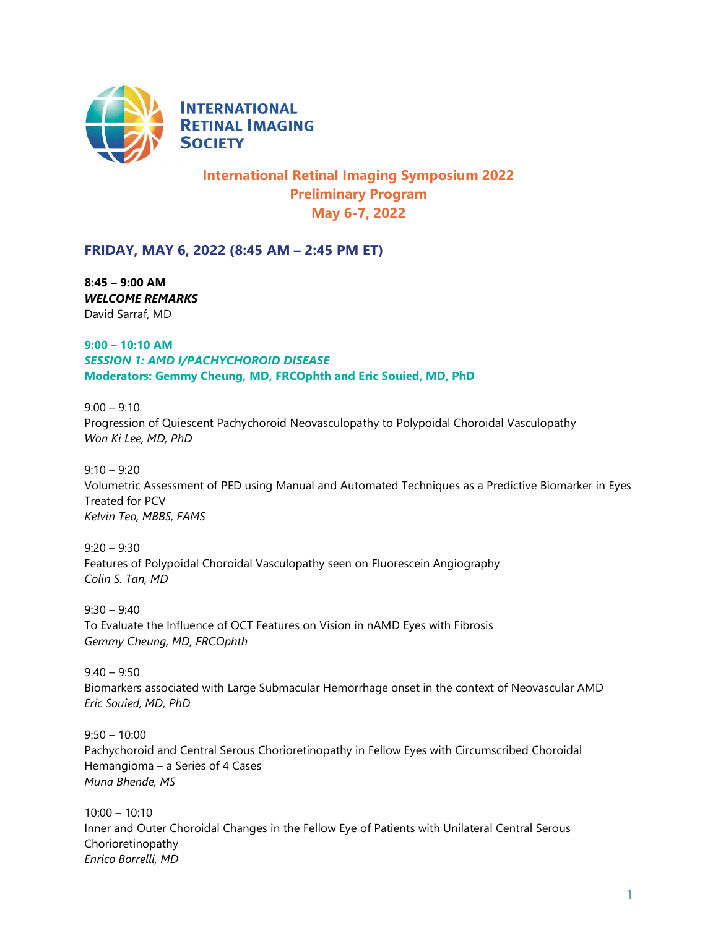

**INTERNATIONAL RETINAL IMAGING SOCIETY** 

# International Retinal Imaging Symposium 2022 Preliminary Program May 6-7, 2022

## FRIDAY, MAY 6, 2022 (8:45 AM – 2:45 PM ET)

8:45 – 9:00 AM WELCOME REMARKS David Sarraf, MD

## 9:00 – 10:10 AM SESSION 1: AMD I/PACHYCHOROID DISEASE Moderators: Gemmy Cheung, MD, FRCOphth and Eric Souied, MD, PhD

 $9:00 - 9:10$ Progression of Quiescent Pachychoroid Neovasculopathy to Polypoidal Choroidal Vasculopathy Won Ki Lee, MD, PhD

 $9:10 - 9:20$ Volumetric Assessment of PED using Manual and Automated Techniques as a Predictive Biomarker in Eyes Treated for PCV Kelvin Teo, MBBS, FAMS

 $9:20 - 9:30$ Features of Polypoidal Choroidal Vasculopathy seen on Fluorescein Angiography Colin S. Tan, MD

 $9:30 - 9:40$ To Evaluate the Influence of OCT Features on Vision in nAMD Eyes with Fibrosis Gemmy Cheung, MD, FRCOphth

 $9:40 - 9:50$ Biomarkers associated with Large Submacular Hemorrhage onset in the context of Neovascular AMD Eric Souied, MD, PhD

 $9:50 - 10:00$ Pachychoroid and Central Serous Chorioretinopathy in Fellow Eyes with Circumscribed Choroidal Hemangioma – a Series of 4 Cases Muna Bhende, MS

10:00 – 10:10 Inner and Outer Choroidal Changes in the Fellow Eye of Patients with Unilateral Central Serous Chorioretinopathy Enrico Borrelli, MD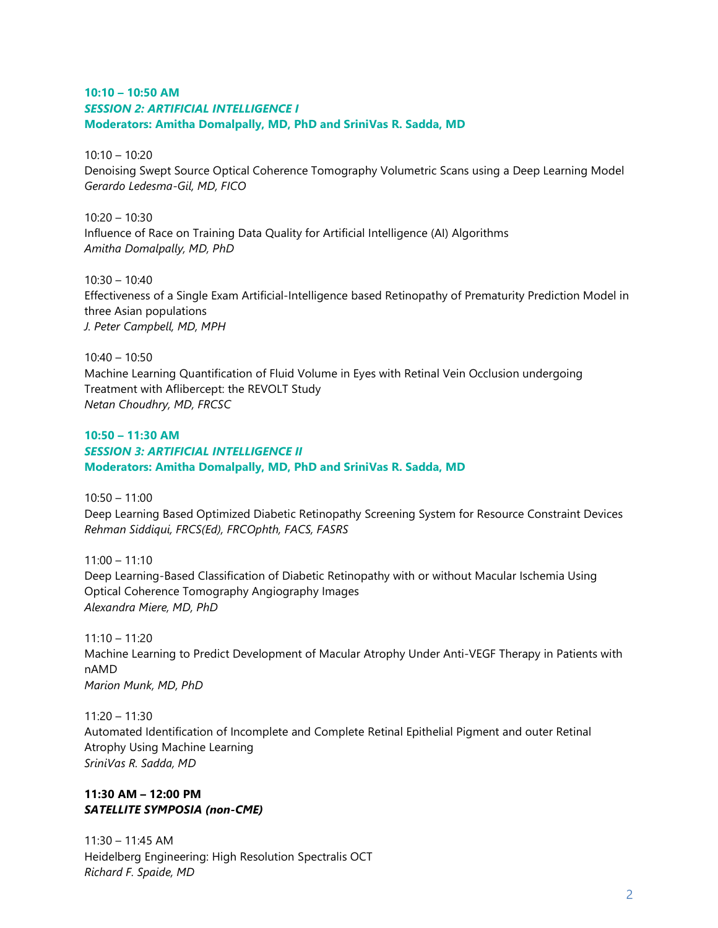#### 10:10 – 10:50 AM SESSION 2: ARTIFICIAL INTELLIGENCE I Moderators: Amitha Domalpally, MD, PhD and SriniVas R. Sadda, MD

 $10:10 - 10:20$ Denoising Swept Source Optical Coherence Tomography Volumetric Scans using a Deep Learning Model Gerardo Ledesma-Gil, MD, FICO

 $10:20 - 10:30$ Influence of Race on Training Data Quality for Artificial Intelligence (AI) Algorithms Amitha Domalpally, MD, PhD

 $10:30 - 10:40$ Effectiveness of a Single Exam Artificial-Intelligence based Retinopathy of Prematurity Prediction Model in three Asian populations J. Peter Campbell, MD, MPH

 $10:40 - 10:50$ Machine Learning Quantification of Fluid Volume in Eyes with Retinal Vein Occlusion undergoing Treatment with Aflibercept: the REVOLT Study Netan Choudhry, MD, FRCSC

## $10:50 - 11:30$  AM SESSION 3: ARTIFICIAL INTELLIGENCE II Moderators: Amitha Domalpally, MD, PhD and SriniVas R. Sadda, MD

10:50 – 11:00 Deep Learning Based Optimized Diabetic Retinopathy Screening System for Resource Constraint Devices Rehman Siddiqui, FRCS(Ed), FRCOphth, FACS, FASRS

 $11:00 - 11:10$ Deep Learning-Based Classification of Diabetic Retinopathy with or without Macular Ischemia Using Optical Coherence Tomography Angiography Images Alexandra Miere, MD, PhD

11:10 – 11:20 Machine Learning to Predict Development of Macular Atrophy Under Anti-VEGF Therapy in Patients with nAMD Marion Munk, MD, PhD

11:20 – 11:30 Automated Identification of Incomplete and Complete Retinal Epithelial Pigment and outer Retinal Atrophy Using Machine Learning SriniVas R. Sadda, MD

#### 11:30 AM – 12:00 PM SATELLITE SYMPOSIA (non-CME)

11:30 – 11:45 AM Heidelberg Engineering: High Resolution Spectralis OCT Richard F. Spaide, MD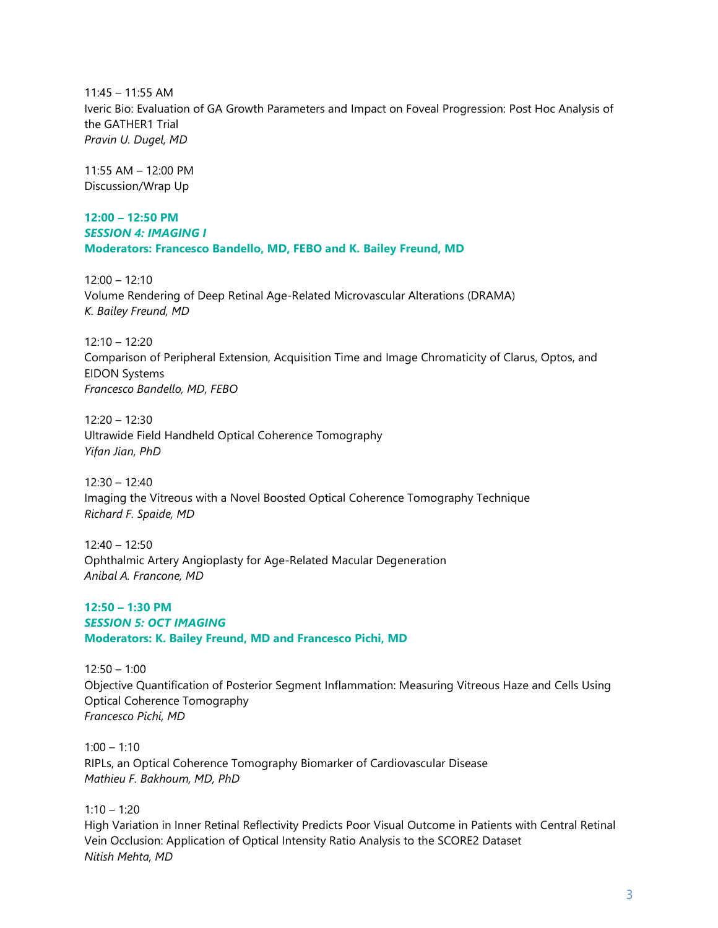11:45 – 11:55 AM Iveric Bio: Evaluation of GA Growth Parameters and Impact on Foveal Progression: Post Hoc Analysis of the GATHER1 Trial Pravin U. Dugel, MD

11:55 AM – 12:00 PM Discussion/Wrap Up

12:00 – 12:50 PM SESSION 4: IMAGING I Moderators: Francesco Bandello, MD, FEBO and K. Bailey Freund, MD

 $12:00 - 12:10$ Volume Rendering of Deep Retinal Age-Related Microvascular Alterations (DRAMA) K. Bailey Freund, MD

12:10 – 12:20 Comparison of Peripheral Extension, Acquisition Time and Image Chromaticity of Clarus, Optos, and EIDON Systems Francesco Bandello, MD, FEBO

12:20 – 12:30 Ultrawide Field Handheld Optical Coherence Tomography Yifan Jian, PhD

12:30 – 12:40 Imaging the Vitreous with a Novel Boosted Optical Coherence Tomography Technique Richard F. Spaide, MD

12:40 – 12:50 Ophthalmic Artery Angioplasty for Age-Related Macular Degeneration Anibal A. Francone, MD

12:50 – 1:30 PM SESSION 5: OCT IMAGING Moderators: K. Bailey Freund, MD and Francesco Pichi, MD

12:50 – 1:00 Objective Quantification of Posterior Segment Inflammation: Measuring Vitreous Haze and Cells Using Optical Coherence Tomography Francesco Pichi, MD

 $1:00 - 1:10$ RIPLs, an Optical Coherence Tomography Biomarker of Cardiovascular Disease Mathieu F. Bakhoum, MD, PhD

 $1:10 - 1:20$ High Variation in Inner Retinal Reflectivity Predicts Poor Visual Outcome in Patients with Central Retinal Vein Occlusion: Application of Optical Intensity Ratio Analysis to the SCORE2 Dataset Nitish Mehta, MD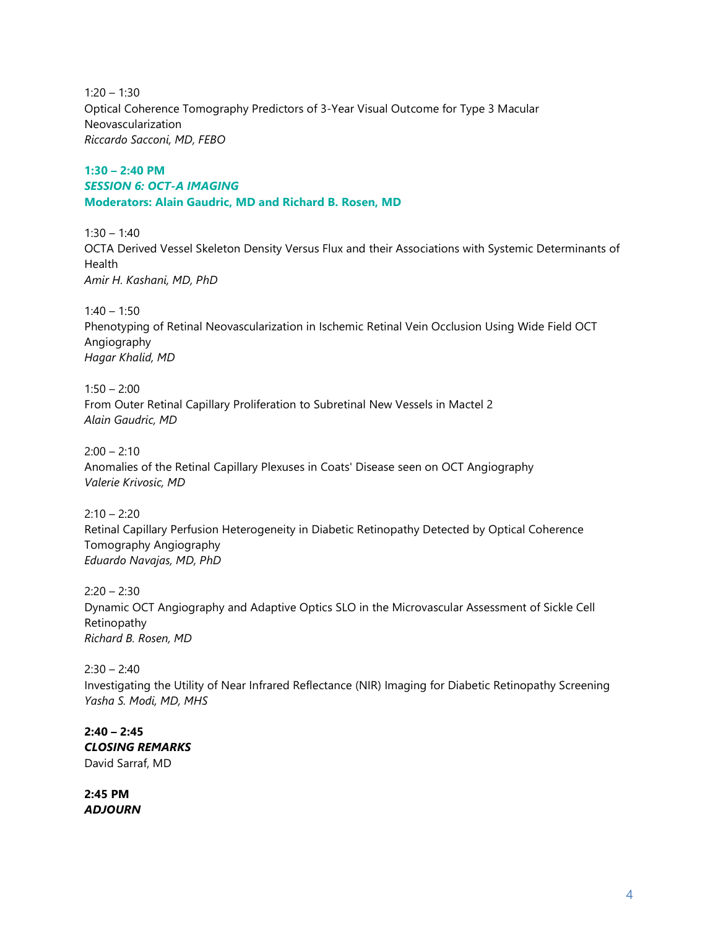$1:20 - 1:30$ Optical Coherence Tomography Predictors of 3-Year Visual Outcome for Type 3 Macular Neovascularization Riccardo Sacconi, MD, FEBO

## 1:30 – 2:40 PM SESSION 6: OCT-A IMAGING Moderators: Alain Gaudric, MD and Richard B. Rosen, MD

 $1:30 - 1:40$ OCTA Derived Vessel Skeleton Density Versus Flux and their Associations with Systemic Determinants of **Health** Amir H. Kashani, MD, PhD

 $1:40 - 1:50$ Phenotyping of Retinal Neovascularization in Ischemic Retinal Vein Occlusion Using Wide Field OCT Angiography Hagar Khalid, MD

 $1:50 - 2:00$ From Outer Retinal Capillary Proliferation to Subretinal New Vessels in Mactel 2 Alain Gaudric, MD

 $2:00 - 2:10$ Anomalies of the Retinal Capillary Plexuses in Coats' Disease seen on OCT Angiography Valerie Krivosic, MD

 $2:10 - 2:20$ Retinal Capillary Perfusion Heterogeneity in Diabetic Retinopathy Detected by Optical Coherence Tomography Angiography Eduardo Navajas, MD, PhD

 $2:20 - 2:30$ Dynamic OCT Angiography and Adaptive Optics SLO in the Microvascular Assessment of Sickle Cell Retinopathy Richard B. Rosen, MD

 $2:30 - 2:40$ Investigating the Utility of Near Infrared Reflectance (NIR) Imaging for Diabetic Retinopathy Screening Yasha S. Modi, MD, MHS

 $2:40 - 2:45$ CLOSING REMARKS David Sarraf, MD

2:45 PM ADJOURN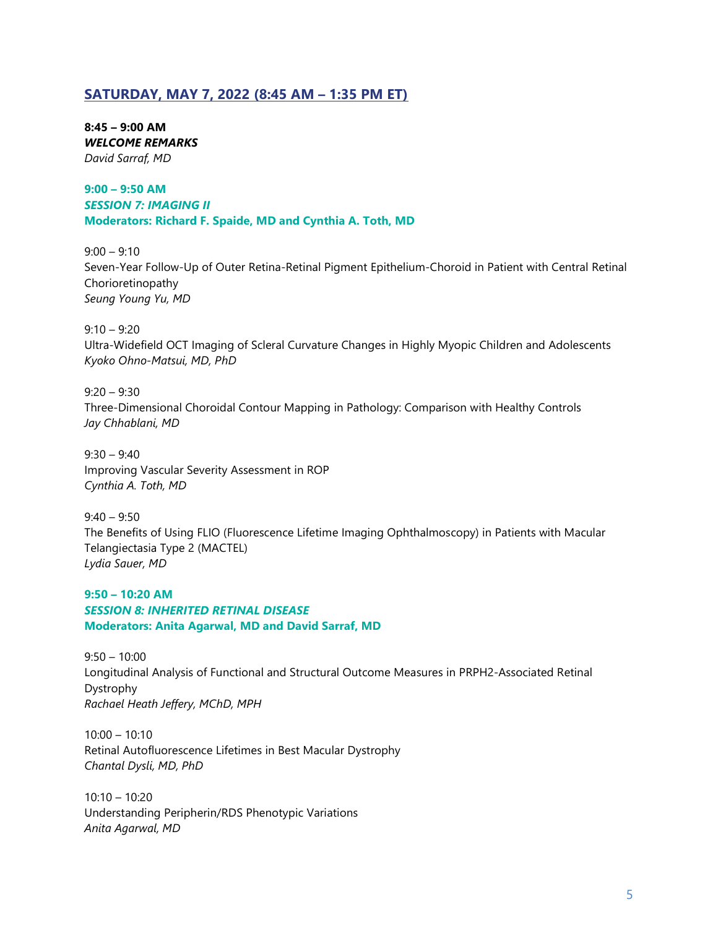## SATURDAY, MAY 7, 2022 (8:45 AM – 1:35 PM ET)

8:45 – 9:00 AM WELCOME REMARKS David Sarraf, MD

9:00 – 9:50 AM SESSION 7: IMAGING II Moderators: Richard F. Spaide, MD and Cynthia A. Toth, MD

 $9:00 - 9:10$ Seven-Year Follow-Up of Outer Retina-Retinal Pigment Epithelium-Choroid in Patient with Central Retinal Chorioretinopathy Seung Young Yu, MD

 $9:10 - 9:20$ Ultra-Widefield OCT Imaging of Scleral Curvature Changes in Highly Myopic Children and Adolescents Kyoko Ohno-Matsui, MD, PhD

 $9:20 - 9:30$ Three-Dimensional Choroidal Contour Mapping in Pathology: Comparison with Healthy Controls Jay Chhablani, MD

 $9:30 - 9:40$ Improving Vascular Severity Assessment in ROP Cynthia A. Toth, MD

9:40 – 9:50 The Benefits of Using FLIO (Fluorescence Lifetime Imaging Ophthalmoscopy) in Patients with Macular Telangiectasia Type 2 (MACTEL) Lydia Sauer, MD

9:50 – 10:20 AM SESSION 8: INHERITED RETINAL DISEASE Moderators: Anita Agarwal, MD and David Sarraf, MD

 $9:50 - 10:00$ Longitudinal Analysis of Functional and Structural Outcome Measures in PRPH2-Associated Retinal Dystrophy Rachael Heath Jeffery, MChD, MPH

10:00 – 10:10 Retinal Autofluorescence Lifetimes in Best Macular Dystrophy Chantal Dysli, MD, PhD

10:10 – 10:20 Understanding Peripherin/RDS Phenotypic Variations Anita Agarwal, MD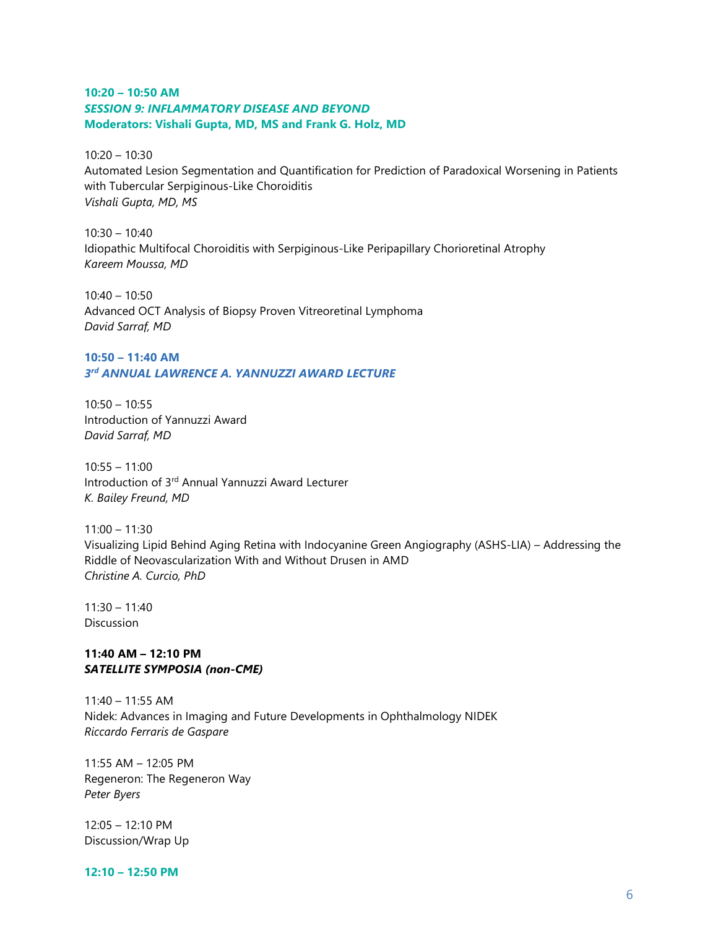#### 10:20 – 10:50 AM SESSION 9: INFLAMMATORY DISEASE AND BEYOND Moderators: Vishali Gupta, MD, MS and Frank G. Holz, MD

10:20 – 10:30 Automated Lesion Segmentation and Quantification for Prediction of Paradoxical Worsening in Patients with Tubercular Serpiginous-Like Choroiditis Vishali Gupta, MD, MS

 $10:30 - 10:40$ Idiopathic Multifocal Choroiditis with Serpiginous-Like Peripapillary Chorioretinal Atrophy Kareem Moussa, MD

10:40 – 10:50 Advanced OCT Analysis of Biopsy Proven Vitreoretinal Lymphoma David Sarraf, MD

## 10:50 – 11:40 AM 3rd ANNUAL LAWRENCE A. YANNUZZI AWARD LECTURE

10:50 – 10:55 Introduction of Yannuzzi Award David Sarraf, MD

 $10:55 - 11:00$ Introduction of 3rd Annual Yannuzzi Award Lecturer K. Bailey Freund, MD

11:00 – 11:30 Visualizing Lipid Behind Aging Retina with Indocyanine Green Angiography (ASHS-LIA) – Addressing the Riddle of Neovascularization With and Without Drusen in AMD Christine A. Curcio, PhD

11:30 – 11:40 **Discussion** 

#### 11:40 AM – 12:10 PM SATELLITE SYMPOSIA (non-CME)

11:40 – 11:55 AM Nidek: Advances in Imaging and Future Developments in Ophthalmology NIDEK Riccardo Ferraris de Gaspare

11:55 AM – 12:05 PM Regeneron: The Regeneron Way Peter Byers

12:05 – 12:10 PM Discussion/Wrap Up

12:10 – 12:50 PM